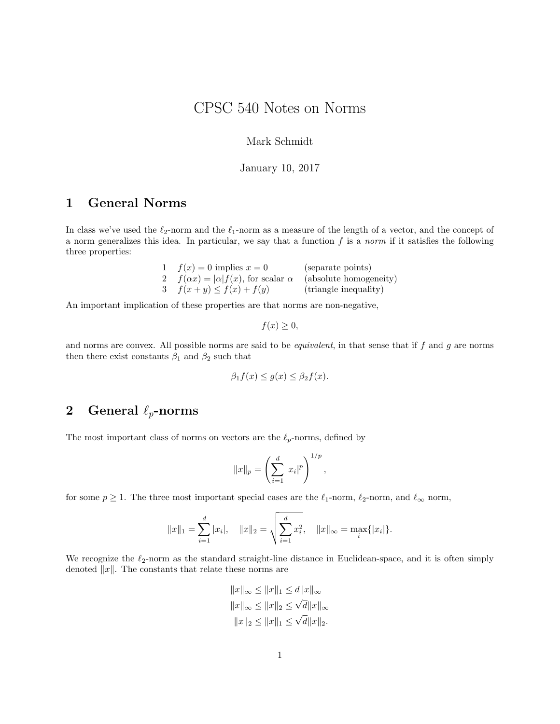# CPSC 540 Notes on Norms

#### Mark Schmidt

#### January 10, 2017

## 1 General Norms

In class we've used the  $\ell_2$ -norm and the  $\ell_1$ -norm as a measure of the length of a vector, and the concept of a norm generalizes this idea. In particular, we say that a function  $f$  is a norm if it satisfies the following three properties:

| 1 $f(x) = 0$ implies $x = 0$                                               | (separate points)     |
|----------------------------------------------------------------------------|-----------------------|
| $f(\alpha x) =  \alpha  f(x)$ , for scalar $\alpha$ (absolute homogeneity) |                       |
| 3 $f(x+y) \leq f(x) + f(y)$                                                | (triangle inequality) |

An important implication of these properties are that norms are non-negative,

$$
f(x) \geq 0,
$$

and norms are convex. All possible norms are said to be *equivalent*, in that sense that if  $f$  and  $g$  are norms then there exist constants  $\beta_1$  and  $\beta_2$  such that

$$
\beta_1 f(x) \le g(x) \le \beta_2 f(x).
$$

### 2 General  $\ell_p$ -norms

The most important class of norms on vectors are the  $\ell_p$ -norms, defined by

$$
||x||_p = \left(\sum_{i=1}^d |x_i|^p\right)^{1/p},
$$

for some  $p \ge 1$ . The three most important special cases are the  $\ell_1$ -norm,  $\ell_2$ -norm, and  $\ell_{\infty}$  norm,

$$
||x||_1 = \sum_{i=1}^d |x_i|, \quad ||x||_2 = \sqrt{\sum_{i=1}^d x_i^2}, \quad ||x||_{\infty} = \max_i \{|x_i|\}.
$$

We recognize the  $\ell_2$ -norm as the standard straight-line distance in Euclidean-space, and it is often simply denoted  $||x||$ . The constants that relate these norms are

$$
||x||_{\infty} \le ||x||_1 \le d||x||_{\infty}
$$
  

$$
||x||_{\infty} \le ||x||_2 \le \sqrt{d}||x||_{\infty}
$$
  

$$
||x||_2 \le ||x||_1 \le \sqrt{d}||x||_2.
$$